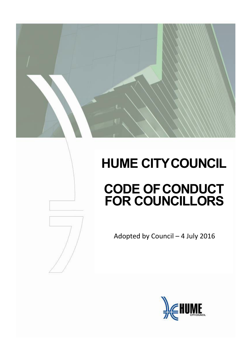# **HUME CITY COUNCIL CODE OF CONDUCT FOR COUNCILLORS**



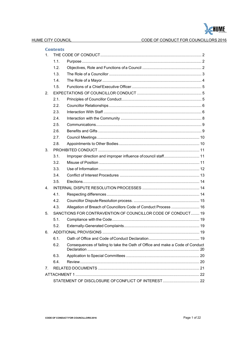

## CODE OF CONDUCT FOR COUNCILLORS 2016

| 1. | <b>Contents</b>                                              |                                                                               |  |  |
|----|--------------------------------------------------------------|-------------------------------------------------------------------------------|--|--|
|    | 1.1.                                                         |                                                                               |  |  |
|    | 1.2.                                                         |                                                                               |  |  |
|    | 1.3.                                                         |                                                                               |  |  |
|    | 1.4.                                                         |                                                                               |  |  |
|    | 1.5.                                                         |                                                                               |  |  |
| 2. |                                                              |                                                                               |  |  |
|    | 2.1.                                                         |                                                                               |  |  |
|    | 2.2.                                                         |                                                                               |  |  |
|    | 2.3.                                                         |                                                                               |  |  |
|    | 2.4.                                                         |                                                                               |  |  |
|    | 2.5.                                                         |                                                                               |  |  |
|    | 2.6.                                                         |                                                                               |  |  |
|    | 2.7.                                                         |                                                                               |  |  |
|    | 2.8.                                                         |                                                                               |  |  |
| 3. |                                                              |                                                                               |  |  |
|    | 3.1.                                                         | Improper direction and improper influence of council staff 11                 |  |  |
|    | 3.2 <sub>1</sub>                                             |                                                                               |  |  |
|    | 3.3.                                                         |                                                                               |  |  |
|    | 3.4.                                                         |                                                                               |  |  |
|    | 3.5.                                                         |                                                                               |  |  |
| 4. |                                                              |                                                                               |  |  |
|    | 4.1.                                                         |                                                                               |  |  |
|    | 4.2.                                                         |                                                                               |  |  |
|    | 4.3.                                                         | Allegation of Breach of Councillors Code of Conduct Process  16               |  |  |
| 5. | SANCTIONS FOR CONTRAVENTION OF COUNCILLOR CODE OF CONDUCT 19 |                                                                               |  |  |
|    | 5.1.                                                         |                                                                               |  |  |
|    | 5.2.                                                         |                                                                               |  |  |
| 6. |                                                              |                                                                               |  |  |
|    | 6.1.                                                         |                                                                               |  |  |
|    | 6.2.                                                         | Consequences of failing to take the Oath of Office and make a Code of Conduct |  |  |
|    | 6.3.                                                         |                                                                               |  |  |
|    | 6.4.                                                         |                                                                               |  |  |
| 7. |                                                              |                                                                               |  |  |
|    |                                                              |                                                                               |  |  |
|    |                                                              | STATEMENT OF DISCLOSURE OF CONFLICT OF INTEREST 22                            |  |  |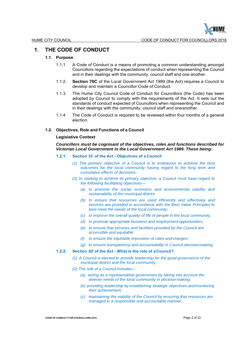

## **1. THE CODE OF CONDUCT**

## **1.1. Purpose**

- 1.1.1. A Code of Conduct is a means of promoting a common understanding amongst Councillors regarding the expectations of conduct when representing the Council and in their dealings with the community, council staff and one another.
- 1.1.2. **Section 76C** of the Local Government Act 1989 (the Act) requires a Council to develop and maintain a Councillor Code of Conduct.
- 1.1.3. The Hume City Council Code of Conduct for Councillors (the Code) has been adopted by Council to comply with the requirements of the Act. It sets out the standards of conduct expected of Councillors when representing the Council and in their dealings with the community, council staff and one another.
- 1.1.4. The Code of Conduct is required to be reviewed within four months of a general election.

## **1.2. Objectives, Role and Functions of a Council**

## **Legislative Context**

*Councillors must be cognisant of the objectives, roles and functions described for Victorian Local Government in the Local Government Act 1989. These being:*

#### **1.2.1. Section 3C of the Act - Objectives of a Council**

- *(1) The primary objective of a Council is to endeavour to achieve the best outcomes for the local community having regard to the long term and cumulative effects of decisions.*
- *(2) In seeking to achieve its primary objective, a Council must have regard to the following facilitating objectives—*
	- *(a) to promote the social, economic and environmental viability and sustainability of the municipal district;*
	- *(b) to ensure that resources are used efficiently and effectively and services are provided in accordance with the Best Value Principles to best meet the needs of the local community;*
	- *(c) to improve the overall quality of life of people in the local community;*
	- *(d) to promote appropriate business and employment opportunities;*
	- *(e) to ensure that services and facilities provided by the Council are accessible and equitable;*
	- *(f) to ensure the equitable imposition of rates and charges;*
	- *(g) to ensure transparency and accountability in Council decision making.*

## **1.2.2. Section 3D of the Act - What is the role of a Council?**

- *(1) A Council is elected to provide leadership for the good governance of the municipal district and the local community.*
- *(2) The role of a Council includes—*
	- *(a) acting as a representative government by taking into account the diverse needs of the local community in decision making;*
	- *(b) providing leadership by establishing strategic objectives and monitoring their achievement;*
	- *(c) maintaining the viability of the Council by ensuring that resources are managed in a responsible and accountable manner;*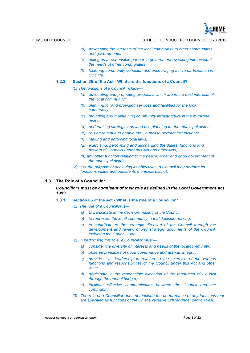

- *(d) advocating the interests of the local community to other communities and governments;*
- *(e) acting as a responsible partner in government by taking into account the needs of other communities;*
- *(f) fostering community cohesion and encouraging active participation in civic life.*

## **1.2.3. Section 3E of the Act - What are the functions of a Council?**

- *(1) The functions of a Council include—*
	- *(a) advocating and promoting proposals which are in the best interests of the local community;*
	- *(b) planning for and providing services and facilities for the local community;*
	- *(c) providing and maintaining community infrastructure in the municipal district;*
	- *(d) undertaking strategic and land use planning for the municipal district;*
	- *(e) raising revenue to enable the Council to perform its functions;*
	- *(f) making and enforcing local laws;*
	- *(g) exercising, performing and discharging the duties, functions and powers of Councils under this Act and other Acts;*
	- *(h) any other function relating to the peace, order and good government of the municipal district.*
- *(2) For the purpose of achieving its objectives, a Council may perform its functions inside and outside its municipal district.*

## **1.3. The Role of a Councillor**

*Councillors must be cognisant of their role as defined in the Local Government Act 1989.*

- 1.3.1. **Section 65 of the Act What is the role of a Councillor**?
	- *(1) The role of a Councillor is*
		- *a) to participate in the decision-making of the Council;*
		- *b) to represent the local community in that decision-making;*
		- *c) to contribute to the strategic direction of the Council through the development and review of key strategic documents of the Council, including the Council Plan.*
	- *(2) In performing this role, a Councillor must* 
		- a) consider the diversity of interests and needs of the local community;
		- *b) observe principles of good governance and act with integrity;*
		- *c) provide civic leadership in relation to the exercise of the various functions and responsibilities of the Council under this Act and other Acts;*
		- *d)* participate in the responsible allocation of the resources of Council *through the annual budget;*
		- *e) facilitate effective communication between the Council and the community.*
	- *(3) The role of a Councillor does not include the performance of any functions that are specified as functions of the Chief Executive Officer under section 94A.*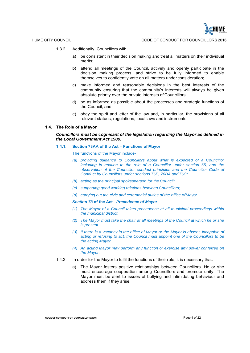≦HUME

- 1.3.2. Additionally, Councillors will:
	- a) be consistent in their decision making and treat all matters on their individual merits;
	- b) attend all meetings of the Council, actively and openly participate in the decision making process, and strive to be fully informed to enable themselves to confidently vote on all matters under consideration;
	- c) make informed and reasonable decisions in the best interests of the community ensuring that the community's interests will always be given absolute priority over the private interests of Councillors;
	- d) be as informed as possible about the processes and strategic functions of the Council; and
	- e) obey the spirit and letter of the law and, in particular, the provisions of all relevant statues, regulations, local laws and instruments.

## **1.4. The Role of a Mayor**

## *Councillors must be cognisant of the legislation regarding the Mayor as defined in the Local Government Act 1989.*

## **1.4.1. Section 73AA of the Act – Functions of Mayor**

- The functions of the Mayor include-
- *(a) providing guidance to Councillors about what is expected of a Councillor*  including in relation to the role of a Councillor under section 65, and the *observation of the Councillor conduct principles and the Councillor Code of Conduct by Councillors under sections 76B, 76BA and 76C;*
- *(b) acting as the principal spokesperson for the Council;*
- *(c) supporting good working relations between Councillors;*
- *(d) carrying out the civic and ceremonial duties of the office of Mayor.*

#### *Section 73* **of the Act** *- Precedence of Mayor*

- *(1) The Mayor of a Council takes precedence at all municipal proceedings within the municipal district.*
- *(2) The Mayor must take the chair at all meetings of the Council at which he or she is present.*
- *(3) If there is a vacancy in the office of Mayor or the Mayor is absent, incapable of acting or refusing to act, the Council must appoint one of the Councillors to be the acting Mayor.*
- *(4) An acting Mayor may perform any function or exercise any power conferred on the Mayor*.
- 1.4.2. In order for the Mayor to fulfil the functions of their role, it is necessary that:
	- a) The Mayor fosters positive relationships between Councillors. He or she must encourage cooperation among Councillors and promote unity. The Mayor must be alert to issues of bullying and intimidating behaviour and address them if they arise.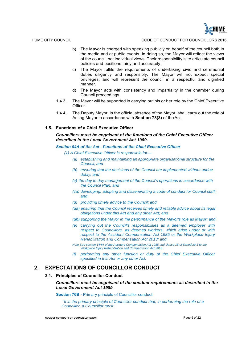HUME CITY COUNCIL CODE OF CONDUCT FOR COUNCILLORS 2016

- b) The Mayor is charged with speaking publicly on behalf of the council both in the media and at public events. In doing so, the Mayor will reflect the views of the council, not individual views. Their responsibility is to articulate council policies and positions fairly and accurately.
- c) The Mayor fulfils the requirements of undertaking civic and ceremonial duties diligently and responsibly. The Mayor will not expect special privileges, and will represent the council in a respectful and dignified manner.
- d) The Mayor acts with consistency and impartiality in the chamber during Council proceedings
- 1.4.3. The Mayor will be supported in carrying out his or her role by the Chief Executive Officer.
- 1.4.4. The Deputy Mayor, in the official absence of the Mayor, shall carry out the role of Acting Mayor in accordance with **Section 73(3)** of the Act.

## **1.5. Functions of a Chief Executive Officer**

## *Councillors must be cognisant of the functions of the Chief Executive Officer described in the Local Government Act 1989.*

*Section 94A of the Act - Functions of the Chief Executive Officer*

- *(1) A Chief Executive Officer is responsible for—*
	- *(a) establishing and maintaining an appropriate organisational structure for the Council; and*
	- *(b) ensuring that the decisions of the Council are implemented without undue delay; and*
	- *(c) the day to day management of the Council's operations in accordance with the Council Plan; and*
	- *(ca) developing, adopting and disseminating a code of conduct for Council staff; and*
	- *(d) providing timely advice to the Council; and*
	- *(da) ensuring that the Council receives timely and reliable advice about its legal obligations under this Act and any other Act; and*
	- *(db) supporting the Mayor in the performance of the Mayor's role as Mayor; and*
	- *(e) carrying out the Council's responsibilities as a deemed employer with respect to Councillors, as deemed workers, which arise under or with respect to the Accident Compensation Act 1985 or the Workplace Injury Rehabilitation and Compensation Act 2013; and*
	- *Note See section 14AA of the Accident Compensation Act 1985 and clause 15 of Schedule 1 to the Workplace Injury Rehabilitation and Compensation Act 2013.*
	- *(f) performing any other function or duty of the Chief Executive Officer specified in this Act or any other Act.*

## **2. EXPECTATIONS OF COUNCILLOR CONDUCT**

## **2.1. Principles of Councillor Conduct**

## *Councillors must be cognisant of the conduct requirements as described in the Local Government Act 1989.*

**Section 76B -** Primary principle of Councillor conduct

*"It is the primary principle of Councillor conduct that, in performing the role of a Councillor, a Councillor must:*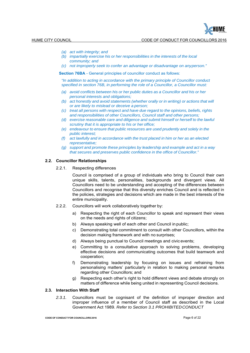

- *(a) act with integrity; and*
- *(b) impartially exercise his or her responsibilities in the interests of the local community; and*
- *(c) not improperly seek to confer an advantage or disadvantage on any person."*

**Section 76BA** - General principles of councillor conduct as follows:

*"In addition to acting in accordance with the primary principle of Councillor conduct specified in section 76B, in performing the role of a Councillor, a Councillor must:*

- *(a) avoid conflicts between his or her public duties as a Councillor and his or her personal interests and obligations;*
- *(b) act honestly and avoid statements (whether orally or in writing) or actions that will or are likely to mislead or deceive a person;*
- *(c) treat all persons with respect and have due regard to the opinions, beliefs, rights and responsibilities of other Councillors, Council staff and other persons;*
- *(d) exercise reasonable care and diligence and submit himself or herself to the lawful scrutiny that it is appropriate to his or her office;*
- *(e) endeavour to ensure that public resources are used prudently and solely in the public interest;*
- *(f) act lawfully and in accordance with the trust placed in him or her as an elected representative;*
- *(g) support and promote these principles by leadership and example and act in a way that secures and preserves public confidence in the office of Councillor."*

## **2.2. Councillor Relationships**

2.2.1. Respecting differences

Council is comprised of a group of individuals who bring to Council their own unique skills, talents, personalities, backgrounds and divergent views. All Councillors need to be understanding and accepting of the differences between Councillors and recognise that this diversity enriches Council and is reflected in the policies, strategies and decisions which are made in the best interests of the entire municipality.

- 2.2.2. Councillors will work collaboratively together by:
	- a) Respecting the right of each Councillor to speak and represent their views on the needs and rights of citizens;
	- b) Always speaking well of each other and Council in public;
	- c) Demonstrating total commitment to consult with other Councillors, within the decision making framework and with no surprises;
	- d) Always being punctual to Council meetings and civic events;
	- e) Committing to a consultative approach to solving problems, developing effective decisions and communicating outcomes that build teamwork and cooperation;
	- f) Demonstrating leadership by focusing on issues and refraining from personalising matters' particularly in relation to making personal remarks regarding other Councillors; and
	- g) Respecting each other's right to hold different views and debate strongly on matters of difference while being united in representing Council decisions.

## **2.3. Interaction With Staff**

*2.3.1.* Councillors must be cognisant of the definition of improper direction and improper influence of a member of Council staff as described in the Local Government Act 1989. *Refer to Section 3.1 PROHIBITED CONDUCT*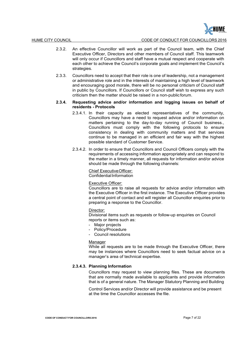- 2.3.2. An effective Councillor will work as part of the Council team, with the Chief Executive Officer, Directors and other members of Council staff. This teamwork will only occur if Councillors and staff have a mutual respect and cooperate with each other to achieve the Council's corporate goals and implement the Council's strategies.
- 2.3.3. Councillors need to accept that their role is one of leadership, not a management or administrative role and in the interests of maintaining a high level of teamwork and encouraging good morale, there will be no personal criticism of Council staff in public by Councillors. If Councillors or Council staff wish to express any such criticism then the matter should be raised in a non-public forum.

## **2.3.4. Requesting advice and/or information and logging issues on behalf of residents - Protocols**

- 2.3.4.1. In their capacity as elected representatives of the community, Councillors may have a need to request advice and/or information on matters pertaining to the day-to-day running of Council business., Councillors must comply with the following protocols to ensure consistency in dealing with community matters and that services continue to be managed in an efficient and fair way with the highest possible standard of Customer Service.
- 2.3.4.2. In order to ensure that Councillors and Council Officers comply with the requirements of accessing information appropriately and can respond to the matter in a timely manner, all requests for information and/or advice should be made through the following channels:

## Chief Executive Officer:

Confidential Information

#### Executive Officer:

Councillors are to raise all requests for advice and/or information with the Executive Officer in the first instance. The Executive Officer provides a central point of contact and will register all Councillor enquiries prior to preparing a response to the Councillor.

#### Director:

Divisional items such as requests or follow-up enquiries on Council reports or items such as:

- Major projects
- Policy/Procedure
- Council resolutions

#### Manager

While all requests are to be made through the Executive Officer, there may be instances where Councillors need to seek factual advice on a manager's area of technical expertise.

## **2.3.4.3. Planning Information**

Councillors may request to view planning files. These are documents that are normally made available to applicants and provide information that is of a general nature. The Manager Statutory Planning and Building

Control Services and/or Director will provide assistance and be present at the time the Councillor accesses the file.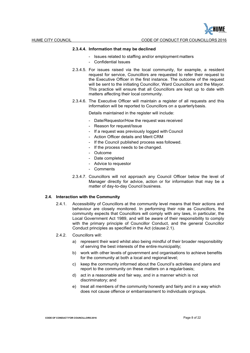HUME CITY COUNCIL CODE OF CONDUCT FOR COUNCILLORS 2016

## **2.3.4.4. Information that may be declined**

- Issues related to staffing and/or employment matters
- Confidential Issues
- 2.3.4.5. For issues raised via the local community, for example, a resident request for service, Councillors are requested to refer their request to the Executive Officer in the first instance. The outcome of the request will be sent to the initiating Councillor, Ward Councillors and the Mayor. This practice will ensure that all Councillors are kept up to date with matters affecting their local community.
- 2.3.4.6. The Executive Officer will maintain a register of all requests and this information will be reported to Councillors on a quarterly basis.

Details maintained in the register will include:

- Date/Requestor/How the request was received
- Reason for request/Issue
- If a request was previously logged with Council
- Action Officer details and Merit CRM
- If the Council published process was followed.
- If the process needs to be changed.
- Outcome
- Date completed
- Advice to requestor
- Comments
- 2.3.4.7. Councillors will not approach any Council Officer below the level of Manager directly for advice, action or for information that may be a matter of day-to-day Council business.

## **2.4. Interaction with the Community**

2.4.1. Accessibility of Councillors at the community level means that their actions and behaviour are closely monitored. In performing their role as Councillors, the community expects that Councillors will comply with any laws, in particular, the Local Government Act 1989, and will be aware of their responsibility to comply with the primary principle of Councillor Conduct, and the general Councillor Conduct principles as specified in the Act (clause 2.1).

## 2.4.2. Councillors will:

- a) represent their ward whilst also being mindful of their broader responsibility of serving the best interests of the entire municipality;
- b) work with other levels of government and organisations to achieve benefits for the community at both a local and regional level:
- c) keep the community informed about the Council's activities and plans and report to the community on these matters on a regular basis;
- d) act in a reasonable and fair way, and in a manner which is not discriminatory; and
- e) treat all members of the community honestly and fairly and in a way which does not cause offence or embarrassment to individuals or groups.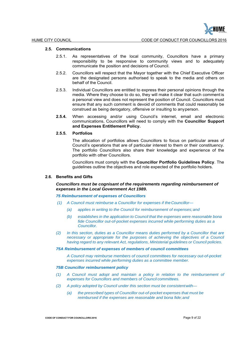## **2.5. Communications**

- 2.5.1. As representatives of the local community, Councillors have a primary responsibility to be responsive to community views and to adequately communicate the position and decisions of Council.
- 2.5.2. Councillors will respect that the Mayor together with the Chief Executive Officer are the designated persons authorised to speak to the media and others on behalf of the Council.
- 2.5.3. Individual Councillors are entitled to express their personal opinions through the media. Where they choose to do so, they will make it clear that such comment is a personal view and does not represent the position of Council. Councillors must ensure that any such comment is devoid of comments that could reasonably be construed as being derogatory, offensive or insulting to any person.
- **2.5.4.** When accessing and/or using Council's internet, email and electronic communications, Councillors will need to comply with the **Councillor Support and Expenses Entitlement Policy.**

## **2.5.5. Portfolios**

The allocation of portfolios allows Councillors to focus on particular areas of Council's operations that are of particular interest to them or their constituency. The portfolio Councillors also share their knowledge and experience of the portfolio with other Councillors.

Councillors must comply with the **Councillor Portfolio Guidelines Policy**. The guidelines outline the objectives and role expected of the portfolio holders.

## **2.6. Benefits and Gifts**

*Councillors must be cognisant of the requirements regarding reimbursement of expenses in the Local Government Act 1989.*

## *75 Reimbursement of expenses of Councillors*

- *(1) A Council must reimburse a Councillor for expenses if the Councillor—*
	- *(a) applies in writing to the Council for reimbursement of expenses; and*
	- *(b) establishes in the application to Council that the expenses were reasonable bona fide Councillor out-of-pocket expenses incurred while performing duties as a Councillor.*
- *(2) In this section, duties as a Councillor means duties performed by a Councillor that are necessary or appropriate for the purposes of achieving the objectives of a Council having regard to any relevant Act, regulations, Ministerial guidelines or Council policies.*

#### *75A Reimbursement of expenses of members of council committees*

*A Council may reimburse members of council committees for necessary out-of-pocket expenses incurred while performing duties as a committee member.*

## *75B Councillor reimbursement policy*

- *(1) A Council must adopt and maintain a policy in relation to the reimbursement of expenses for Councillors and members of Council committees.*
- *(2) A policy adopted by Council under this section must be consistent with—*
	- *(a) the prescribed types of Councillor out-of-pocket expenses that must be reimbursed if the expenses are reasonable and bona fide; and*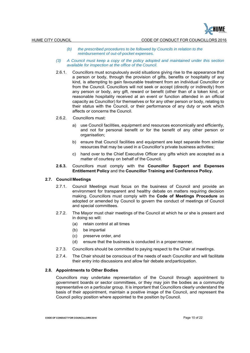- *(b) the prescribed procedures to be followed by Councils in relation to the reimbursement of out-of-pocket expenses.*
- *(3) A Council must keep a copy of the policy adopted and maintained under this section available for inspection at the office of the Council.*
- 2.6.1. Councillors must scrupulously avoid situations giving rise to the appearance that a person or body, through the provision of gifts, benefits or hospitality of any kind, is attempting to gain favourable treatment from an individual Councillor or from the Council. Councillors will not seek or accept (directly or indirectly) from any person or body, any gift, reward or benefit (other than of a token kind, or reasonable hospitality received at an event or function attended in an official capacity as Councillor) for themselves or for any other person or body, relating to their status with the Council, or their performance of any duty or work which affects or concerns the Council.

## 2.6.2. Councillors must:

- a) use Council facilities, equipment and resources economically and efficiently, and not for personal benefit or for the benefit of any other person or organisation;
- b) ensure that Council facilities and equipment are kept separate from similar resources that may be used in a Councillor's private business activities;
- c) hand over to the Chief Executive Officer any gifts which are accepted as a matter of courtesy on behalf of the Council.
- **2.6.3.** Councillors must comply with the **Councillor Support and Expenses Entitlement Policy** and the **Councillor Training and Conference Policy.**

## **2.7. Council Meetings**

- 2.7.1. Council Meetings must focus on the business of Council and provide an environment for transparent and healthy debate on matters requiring decision making. Councillors must comply with the **Code of Meetings Procedure** as adopted or amended by Council to govern the conduct of meetings of Council and special committees.
- 2.7.2. The Mayor must chair meetings of the Council at which he or she is present and in doing so will:
	- (a) retain control at all times
	- (b) be impartial
	- (c) preserve order, and
	- (d) ensure that the business is conducted in a proper manner.
- 2.7.3. Councillors should be committed to paying respect to the Chair at meetings.
- 2.7.4. The Chair should be conscious of the needs of each Councillor and will facilitate their entry into discussions and allow fair debate and participation.

## **2.8. Appointments to Other Bodies**

Councillors may undertake representation of the Council through appointment to government boards or sector committees, or they may join the bodies as a community representative on a particular group. It is important that Councillors clearly understand the basis of their appointment, maintain a positive image of the Council, and represent the Council policy position where appointed to the position by Council.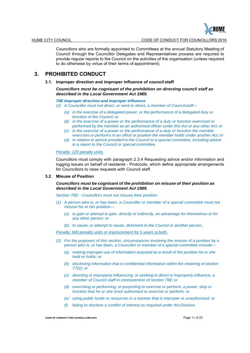

Councillors who are formally appointed to Committees at the annual Statutory Meeting of Council through the Councillor Delegates and Representatives process are required to provide regular reports to the Council on the activities of the organisation (unless required to do otherwise by virtue of their terms of appointment).

## **3. PROHIBITED CONDUCT**

## **3.1. Improper direction and improper influence of council staff**

*Councillors must be cognisant of the prohibition on directing council staff as described in the Local Government Act 1989.*

#### *76E Improper direction and improper influence*

- *(2) A Councillor must not direct, or seek to direct, a member of Council staff—*
	- *(a) in the exercise of a delegated power, or the performance of a delegated duty or function of the Council; or*
	- *(b) in the exercise of a power or the performance of a duty or function exercised or performed by the member as an authorised officer under this Act or any other Act; or*
	- *(c) in the exercise of a power or the performance of a duty or function the member exercises or performs in an office or position the member holds under another Act; or*
	- *(d) in relation to advice provided to the Council or a special committee, including advice in a report to the Council or special committee.*

## *Penalty: 120 penalty units.*

Councillors must comply with paragraph 2.3.4 Requesting advice and/or information and logging issues on behalf of residents - Protocols, which define appropriate arrangements for Councillors to raise requests with Council staff.

## **3.2. Misuse of Position**

## *Councillors must be cognisant of the prohibition on misuse of their position as described in the Local Government Act 1989.*

*Section 76D - Councillors must not misuse their position:*

- *(1) A person who is, or has been, a Councillor or member of a special committee must not misuse his or her position—*
	- *(a) to gain or attempt to gain, directly or indirectly, an advantage for themselves or for any other person; or*
	- *(b) to cause, or attempt to cause, detriment to the Council or another person.*

*Penalty: 600 penalty units or imprisonment for 5 years or both.*

- *(2) For the purposes of this section, circumstances involving the misuse of a position by a person who is, or has been, a Councillor or member of a special committee include—*
	- *(a) making improper use of information acquired as a result of the position he or she held or holds; or*
	- *(b) disclosing information that is confidential information within the meaning of section 77(2); or*
	- *(c) directing or improperly influencing, or seeking to direct or improperly influence, a member of Council staff in contravention of section 76E; or*
	- *(d) exercising or performing, or purporting to exercise or perform, a power, duty or function that he or she is not authorised to exercise or perform; or*
	- *(e) using public funds or resources in a manner that is improper or unauthorised; or*
	- *(f) failing to disclose a conflict of interest as required under this Division.*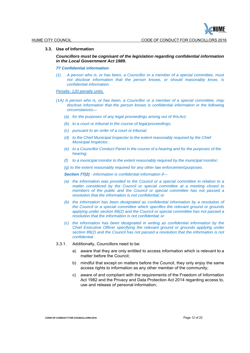

## **3.3. Use of Information**

*Councillors must be cognisant of the legislation regarding confidential information in the Local Government Act 1989.*

#### *77 Confidential information*

*(1) A person who is, or has been, a Councillor or a member of a special committee, must not disclose information that the person knows, or should reasonably know, is confidential information.*

## *Penalty: 120 penalty units.*

- *(1A) A person who is, or has been, a Councillor or a member of a special committee, may disclose information that the person knows is confidential information in the following circumstances—*
	- *(a) for the purposes of any legal proceedings arising out of this Act;*
	- *(b) to a court or tribunal in the course of legal proceedings;*
	- *(c) pursuant to an order of a court or tribunal;*
	- *(d)* to the Chief Municipal Inspector to the extent reasonably required by the Chief *Municipal Inspector;*
	- *(e) to a Councillor Conduct Panel in the course of a hearing and for the purposes of the hearing;*
	- *(f) to a municipal monitor to the extent reasonably required by the municipal monitor;*
	- *(g) to the extent reasonably required for any other law enforcement purposes.*

*Section 77(2) - information is confidential information if—*

- *(a) the information was provided to the Council or a special committee in relation to a*  matter considered by the Council or special committee at a meeting closed to *members of the public and the Council or special committee has not passed a resolution that the information is not confidential; or*
- *(b) the information has been designated as confidential information by a resolution of the Council or a special committee which specifies the relevant ground or grounds applying under section 89(2) and the Council or special committee has not passed a resolution that the information is not confidential; or*
- *(c) the information has been designated in writing as confidential information by the Chief Executive Officer specifying the relevant ground or grounds applying under section 89(2) and the Council has not passed a resolution that the information is not confidential.*
- 3.3.1. Additionally, Councillors need to be:
	- a) aware that they are only entitled to access information which is relevant to a matter before the Council:
	- b) mindful that except on matters before the Council, they only enjoy the same access rights to information as any other member of the community;
	- c) aware of and compliant with the requirements of the Freedom of Information Act 1982 and the Privacy and Data Protection Act 2014 regarding access to, use and release of personal information;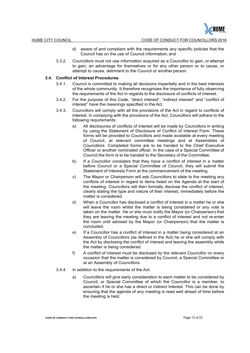- d) aware of and compliant with the requirements any specific policies that the Council has on the use of Council information; and
- 3.3.2. Councillors must not use information acquired as a Councillor to gain, or attempt to gain, an advantage for themselves or for any other person or to cause, or attempt to cause, detriment to the Council or another person.

## **3.4. Conflict of Interest Procedures**

- 3.4.1. Council is committed to making all decisions impartially and in the best interests of the whole community. It therefore recognises the importance of fully observing the requirements of the Act in regards to the disclosure of conflicts of interest.
- 3.4.2. For the purpose of this Code, "direct interest", "indirect interest" and "conflict of interest" have the meanings specified in the Act.
- 3.4.3. Councillors will comply with all the provisions of the Act in regard to conflicts of interest. In complying with the provisions of the Act, Councillors will adhere to the following requirements:
	- a) All disclosures of conflicts of interest will be made by Councillors in writing by using the Statement of Disclosure of Conflict of Interest Form. These forms will be provided to Councillors and made available at every meeting of Council, at relevant committee meetings and at Assemblies of Councillors. Completed forms are to be handed to the Chief Executive Officer or another nominated officer. In the case of a Special Committee of Council the form is to be handed to the Secretary of the Committee.
	- b) If a Councillor considers that they have a conflict of interest in a matter before Council or a Special Committee of Council, they will submit the Statement of Interests Form at the commencement of the meeting.
	- c) The Mayor or Chairperson will ask Councillors to state to the meeting any conflicts of interest in regard to items listed on the Agenda at the start of the meeting. Councillors will then formally disclose the conflict of interest, clearly stating the type and nature of their interest, immediately before the matter is considered.
	- d) When a Councillor has disclosed a conflict of interest in a matter he or she will leave the room whilst the matter is being considered or any vote is taken on the matter. He or she must notify the Mayor (or Chairperson) that they are leaving the meeting due to a conflict of interest and not re-enter the room until advised by the Mayor (or Chairperson) that the matter is concluded.
	- e) If a Councillor has a conflict of interest in a matter being considered at an Assembly of Councillors (as defined in the Act) he or she will comply with the Act by disclosing the conflict of interest and leaving the assembly while the matter is being considered.
	- f) A conflict of interest must be disclosed by the relevant Councillor on every occasion that the matter is considered by Council, a Special Committee or at an Assembly of Councillors.
- 3.4.4. In addition to the requirements of the Act:
	- a) Councillors will give early consideration to each matter to be considered by Council, or Special Committee of which the Councillor is a member, to ascertain if he or she has a direct or indirect Interest. This can be done by ensuring that the agenda of any meeting is read well ahead of time before the meeting is held.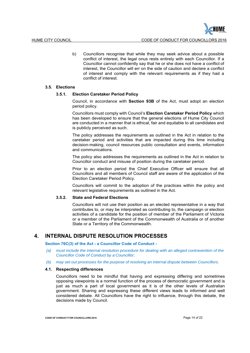b) Councillors recognise that while they may seek advice about a possible conflict of interest, the legal onus rests entirely with each Councillor. If a Councillor cannot confidently say that he or she does not have a conflict of interest, the Councillor will err on the side of caution and declare a conflict of interest and comply with the relevant requirements as if they had a conflict of interest.

## **3.5. Elections**

## **3.5.1. Election Caretaker Period Policy**

Council, in accordance with **Section 93B** of the Act, must adopt an election period policy.

Councillors must comply with Council's **Election Caretaker Period Policy** which has been developed to ensure that the general elections of Hume City Council are conducted in a manner that is ethical, fair and equitable to all candidates and is publicly perceived as such.

The policy addresses the requirements as outlined in the Act in relation to the caretaker period and activities that are impacted during this time including decision-making, council resources public consultation and events, information and communications.

The policy also addresses the requirements as outlined in the Act in relation to Councillor conduct and misuse of position during the caretaker period.

Prior to an election period the Chief Executive Officer will ensure that all Councillors and all members of Council staff are aware of the application of the Election Caretaker Period Policy.

Councillors will commit to the adoption of the practices within the policy and relevant legislative requirements as outlined in the Act.

## **3.5.2. State and Federal Elections**

Councillors will not use their position as an elected representative in a way that contributes to, or may be interpreted as contributing to, the campaign or election activities of a candidate for the position of member of the Parliament of Victoria or a member of the Parliament of the Commonwealth of Australia or of another State or a Territory of the Commonwealth.

## **4. INTERNAL DISPUTE RESOLUTION PROCESSES**

**Section 76C(3) of the Act - a Councillor Code of Conduct -**

- *(a) must include the internal resolution procedure for dealing with an alleged contravention of the Councillor Code of Conduct by a Councillor;*
- *(b) may set out processes for the purpose of resolving an internal dispute between Councillors.*

## **4.1. Respecting differences**

Councillors need to be mindful that having and expressing differing and sometimes opposing viewpoints is a normal function of the process of democratic government and is just as much a part of local government as it is of the other levels of Australian government. Sharing and expressing these different views leads to informed and well considered debate. All Councillors have the right to influence, through this debate, the decisions made by Council.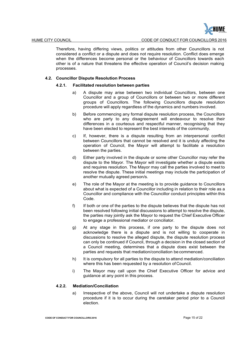

Therefore, having differing views, politics or attitudes from other Councillors is not considered a conflict or a dispute and does not require resolution. Conflict does emerge when the differences become personal or the behaviour of Councillors towards each other is of a nature that threatens the effective operation of Council's decision making processes.

## **4.2. Councillor Dispute Resolution Process**

## **4.2.1. Facilitated resolution between parties**

- a) A dispute may arise between two individual Councillors, between one Councillor and a group of Councillors or between two or more different groups of Councillors. The following Councillors dispute resolution procedure will apply regardless of the dynamics and numbers involved.
- b) Before commencing any formal dispute resolution process, the Councillors who are party to any disagreement will endeavour to resolve their differences in a courteous and respectful manner, recognising that they have been elected to represent the best interests of the community.
- c) If, however, there is a dispute resulting from an interpersonal conflict between Councillors that cannot be resolved and it is unduly affecting the operation of Council, the Mayor will attempt to facilitate a resolution between the parties.
- d) Either party involved in the dispute or some other Councillor may refer the dispute to the Mayor. The Mayor will investigate whether a dispute exists and requires resolution. The Mayor may call the parties involved to meet to resolve the dispute. These initial meetings may include the participation of another mutually agreed person/s.
- e) The role of the Mayor at the meeting is to provide guidance to Councillors about what is expected of a Councillor including in relation to their role as a Councillor and compliance with the Councillor conduct principles within this Code.
- f) If both or one of the parties to the dispute believes that the dispute has not been resolved following initial discussions to attempt to resolve the dispute, the parties may jointly ask the Mayor to request the Chief Executive Officer to engage a professional mediator or conciliator.
- g) At any stage in this process, if one party to the dispute does not acknowledge there is a dispute and is not willing to cooperate in discussions to resolve the alleged dispute, the dispute resolution process can only be continued if Council, through a decision in the closed section of a Council meeting, determines that a dispute does exist between the parties and requests that mediation/conciliation be commenced.
- h) It is compulsory for all parties to the dispute to attend mediation/conciliation where this has been requested by a resolution of Council.
- i) The Mayor may call upon the Chief Executive Officer for advice and guidance at any point in this process.

## **4.2.2. Mediation/Conciliation**

a) Irrespective of the above, Council will not undertake a dispute resolution procedure if it is to occur during the caretaker period prior to a Council election.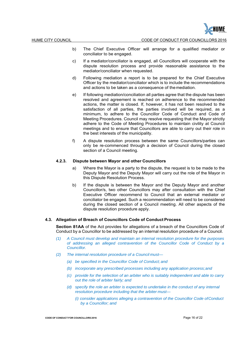HUME

- b) The Chief Executive Officer will arrange for a qualified mediator or conciliator to be engaged.
- c) If a mediator/conciliator is engaged, all Councillors will cooperate with the dispute resolution process and provide reasonable assistance to the mediator/conciliator when requested.
- d) Following mediation a report is to be prepared for the Chief Executive Officer by the mediator/conciliator which is to include the recommendations and actions to be taken as a consequence of the mediation.
- e) If following mediation/conciliation all parties agree that the dispute has been resolved and agreement is reached on adherence to the recommended actions, the matter is closed. If, however, it has not been resolved to the satisfaction of all parties, the parties involved will be required, as a minimum, to adhere to the Councillor Code of Conduct and Code of Meeting Procedures. Council may resolve requesting that the Mayor strictly adhere to the Code of Meeting Procedures to maintain civility at Council meetings and to ensure that Councillors are able to carry out their role in the best interests of the municipality.
- f) A dispute resolution process between the same Councillors/parties can only be re-commenced through a decision of Council during the closed section of a Council meeting.

## **4.2.3. Dispute between Mayor and other Councillors**

- a) Where the Mayor is a party to the dispute, the request is to be made to the Deputy Mayor and the Deputy Mayor will carry out the role of the Mayor in this Dispute Resolution Process.
- b) If the dispute is between the Mayor and the Deputy Mayor and another Councillor/s, two other Councillors may after consultation with the Chief Executive Officer recommend to Council that an external mediator or conciliator be engaged. Such a recommendation will need to be considered during the closed section of a Council meeting. All other aspects of the dispute resolution procedure apply.

## **4.3. Allegation of Breach of Councillors Code of Conduct Process**

**Section 81AA** of the Act provides for allegations of a breach of the Councillors Code of Conduct by a Councillor to be addressed by an internal resolution procedure of a Council.

- *(1) A Council must develop and maintain an internal resolution procedure for the purposes of addressing an alleged contravention of the Councillor Code of Conduct by a Councillor.*
- *(2) The internal resolution procedure of a Council must—*
	- *(a) be specified in the Councillor Code of Conduct; and*
	- *(b) incorporate any prescribed processes including any application process; and*
	- *(c) provide for the selection of an arbiter who is suitably independent and able to carry out the role of arbiter fairly; and*
	- *(d) specify the role an arbiter is expected to undertake in the conduct of any internal resolution procedure including that the arbiter must—*
		- *(i) consider applications alleging a contravention of the Councillor Code of Conduct by a Councillor; and*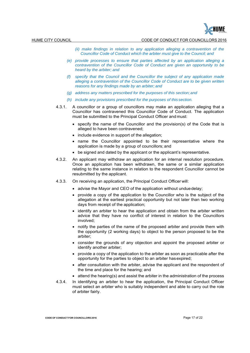HUME CITY COUNCIL CODE OF CONDUCT FOR COUNCILLORS 2016

- *(ii) make findings in relation to any application alleging a contravention of the Councillor Code of Conduct which the arbiter must give to the Council; and*
- *(e) provide processes to ensure that parties affected by an application alleging a contravention of the Councillor Code of Conduct are given an opportunity to be heard by the arbiter; and*
- *(f) specify that the Council and the Councillor the subject of any application made alleging a contravention of the Councillor Code of Conduct are to be given written reasons for any findings made by an arbiter; and*
- *(g) address any matters prescribed for the purposes of this section; and*
- *(h) include any provisions prescribed for the purposes of this section.*
- 4.3.1. A councillor or a group of councillors may make an application alleging that a Councillor has contravened this Councillor Code of Conduct. The application must be submitted to the Principal Conduct Officer and must:
	- specify the name of the Councillor and the provision(s) of the Code that is alleged to have been contravened;
	- include evidence in support of the allegation;
	- name the Councillor appointed to be their representative where the application is made by a group of councillors; and
	- be signed and dated by the applicant or the applicant's representative.
- 4.3.2. An applicant may withdraw an application for an internal resolution procedure. Once an application has been withdrawn, the same or a similar application relating to the same instance in relation to the respondent Councillor cannot be resubmitted by the applicant.
- 4.3.3. On receiving an application, the Principal Conduct Officer will:
	- advise the Mayor and CEO of the application without undue delay;
	- provide a copy of the application to the Councillor who is the subject of the allegation at the earliest practical opportunity but not later than two working days from receipt of the application;
	- identify an arbiter to hear the application and obtain from the arbiter written advice that they have no conflict of interest in relation to the Councillors involved;
	- notify the parties of the name of the proposed arbiter and provide them with the opportunity (2 working days) to object to the person proposed to be the arbiter;
	- consider the grounds of any objection and appoint the proposed arbiter or identify another arbiter;
	- provide a copy of the application to the arbiter as soon as practicable after the opportunity for the parties to object to an arbiter has expired;
	- after consultation with the arbiter, advise the applicant and the respondent of the time and place for the hearing; and
	- $\bullet$  attend the hearing(s) and assist the arbiter in the administration of the process
- 4.3.4. In identifying an arbiter to hear the application, the Principal Conduct Officer must select an arbiter who is suitably independent and able to carry out the role of arbiter fairly.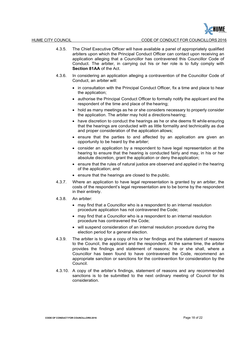

- 4.3.5. The Chief Executive Officer will have available a panel of appropriately qualified arbiters upon which the Principal Conduct Officer can contact upon receiving an application alleging that a Councillor has contravened this Councillor Code of Conduct. The arbiter, in carrying out his or her role is to fully comply with **Section 81AA** of the Act.
- 4.3.6. In considering an application alleging a contravention of the Councillor Code of Conduct, an arbiter will:
	- in consultation with the Principal Conduct Officer, fix a time and place to hear the application;
	- authorise the Principal Conduct Officer to formally notify the applicant and the respondent of the time and place of the hearing;
	- hold as many meetings as he or she considers necessary to properly consider the application. The arbiter may hold a directions hearing;
	- have discretion to conduct the hearings as he or she deems fit while ensuring that the hearings are conducted with as little formality and technicality as due and proper consideration of the application allows;
	- ensure that the parties to and affected by an application are given an opportunity to be heard by the arbiter;
	- consider an application by a respondent to have legal representation at the hearing to ensure that the hearing is conducted fairly and may, in his or her absolute discretion, grant the application or deny the application;
	- ensure that the rules of natural justice are observed and applied in the hearing of the application; and
	- ensure that the hearings are closed to the public.
- 4.3.7. Where an application to have legal representation is granted by an arbiter, the costs of the respondent's legal representation are to be borne by the respondent in their entirety.
- 4.3.8. An arbiter:
	- may find that a Councillor who is a respondent to an internal resolution procedure application has not contravened the Code;
	- may find that a Councillor who is a respondent to an internal resolution procedure has contravened the Code;
	- will suspend consideration of an internal resolution procedure during the election period for a general election.
- 4.3.9. The arbiter is to give a copy of his or her findings and the statement of reasons to the Council, the applicant and the respondent. At the same time, the arbiter provides the findings and statement of reasons; he or she shall, where a Councillor has been found to have contravened the Code, recommend an appropriate sanction or sanctions for the contravention for consideration by the Council.
- 4.3.10. A copy of the arbiter's findings, statement of reasons and any recommended sanctions is to be submitted to the next ordinary meeting of Council for its consideration.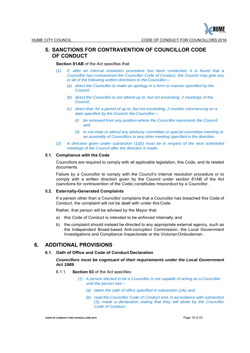

## **5. SANCTIONS FOR CONTRAVENTION OF COUNCILLOR CODE OF CONDUCT**

## **Section 81AB** of the Act specifies that:

- *(1) If, after an internal resolution procedure has been conducted, it is found that a Councillor has contravened the Councillor Code of Conduct, the Council may give any or all of the following written directions to the Councillor—*
	- *(a) direct the Councillor to make an apology in a form or manner specified by the Council;*
	- *(b) direct the Councillor to not attend up to, but not exceeding, 2 meetings of the Council;*
	- *(c) direct that, for a period of up to, but not exceeding, 2 months commencing on a date specified by the Council, the Councillor—*
		- *(i) be removed from any position where the Councillor represents the Council; and*
		- *(ii) to not chair or attend any advisory committee or special committee meeting or an assembly of Councillors or any other meeting specified in the direction.*
- *(2) A direction given under subsection (1)(b) must be in respect of the next scheduled meetings of the Council after the direction is made.*

## **5.1. Compliance with the Code**

Councillors are required to comply with all applicable legislation, this Code, and its related documents.

Failure by a Councillor to comply with the Council's internal resolution procedure or to comply with a written direction given by the Council under section 81AB of the Act (sanctions for contravention of the Code) constitutes misconduct by a Councillor.

## **5.2. Externally-Generated Complaints**

If a person other than a Councillor complains that a Councillor has breached this Code of Conduct, the complaint will not be dealt with under this Code.

Rather, that person will be advised by the Mayor that:

- a) this Code of Conduct is intended to be enforced internally; and
- b) the complaint should instead be directed to any appropriate external agency, such as the Independent Broad-based Anti-corruption Commission, the Local Government Investigations and Compliance Inspectorate or the Victorian Ombudsman.

## **6. ADDITIONAL PROVISIONS**

## **6.1. Oath of Office and Code of Conduct Declaration**

## *Councillors must be cognisant of their requirements under the Local Government Act 1989.*

- 6.1.1. **Section 63** of the Act specifies:
	- *(1) A person elected to be a Councillor is not capable of acting as a Councillor until the person has—*
		- *(a) taken the oath of office specified in subsection (1A); and*
		- *(b) read the Councillor Code of Conduct and, in accordance with subsection (3), made a declaration stating that they will abide by the Councillor Code of Conduct.*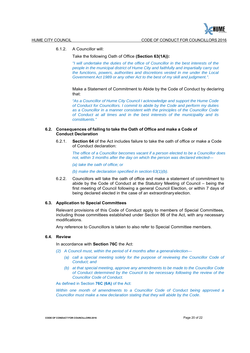6.1.2. A Councillor will:

## Take the following Oath of Office **(Section 63(1A)):**

*"I will undertake the duties of the office of Councillor in the best interests of the people in the municipal district of Hume City and faithfully and impartially carry out the functions, powers, authorities and discretions vested in me under the Local Government Act 1989 or any other Act to the best of my skill and judgment.".*

Make a Statement of Commitment to Abide by the Code of Conduct by declaring that:

*"As a Councillor of Hume City Council I acknowledge and support the Hume Code of Conduct for Councillors. I commit to abide by the Code and perform my duties as a Councillor in a manner consistent with the principles of the Councillor Code of Conduct at all times and in the best interests of the municipality and its constituents."*

## **6.2. Consequences of failing to take the Oath of Office and make a Code of Conduct Declaration**

6.2.1. **Section 64** of the Act includes failure to take the oath of office or make a Code of Conduct declaration:

*The office of a Councillor becomes vacant if a person elected to be a Councillor does not, within 3 months after the day on which the person was declared elected—*

*(a) take the oath of office; or*

*(b) make the declaration specified in section 63(1)(b).*

6.2.2. Councillors will take the oath of office and make a statement of commitment to abide by the Code of Conduct at the Statutory Meeting of Council – being the first meeting of Council following a general Council Election, or within 7 days of being declared elected in the case of an extraordinary election.

#### **6.3. Application to Special Committees**

Relevant provisions of this Code of Conduct apply to members of Special Committees, including those committees established under Section 86 of the Act, with any necessary modifications.

Any reference to Councillors is taken to also refer to Special Committee members.

## **6.4. Review**

In accordance with **Section 76C** the Act:

- *(2) A Council must, within the period of 4 months after a general election—*
	- *(a) call a special meeting solely for the purpose of reviewing the Councillor Code of Conduct; and*
	- *(b) at that special meeting, approve any amendments to be made to the Councillor Code of Conduct determined by the Council to be necessary following the review of the Councillor Code of Conduct.*

As defined in Section **76C (6A)** of the Act:

*Within one month of amendments to a Councillor Code of Conduct being approved a Councillor must make a new declaration stating that they will abide by the Code*.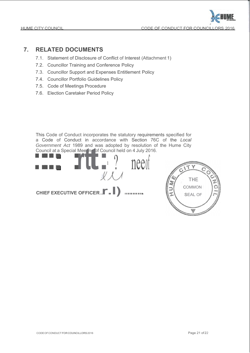

## **7. RELATED DOCUMENTS**

- 7.1. Statement of Disclosure of Conflict of Interest (Attachment 1)
- 7.2. Councillor Training and Conference Policy
- 7.3. Councillor Support and Expenses Entitlement Policy
- 7.4. Councillor Portfolio Guidelines Policy
- 7.5. Code of Meetings Procedure
- 7.6. Election Caretaker Period Policy

This Code of Conduct incorporates the statutory requirements specified for a Code of Conduct in accordance with Section 76C of the *Local Government Act* 1989 and was adopted by resolution of the Hume City Council at a Special Meeting of Council held on 4 July 2016.

 $\begin{pmatrix} 1 & 1 \\ 1 & 1 \end{pmatrix}$ Government Act 1989 and was adopted by resolutio<br>
Council at a Special Mee<sup>ri</sup>ng of Council held on 4 July 20<br> **Example:** The contract of Council held on 4 July 20<br> **Example:** The contract of Council held on 4 July 20<br> **Ex**  $\mathcal{X}$  $\mathcal{N}$ **CHIEF EXECUTIVE OFFICER...** 

THE **COMMON** SEAL OF